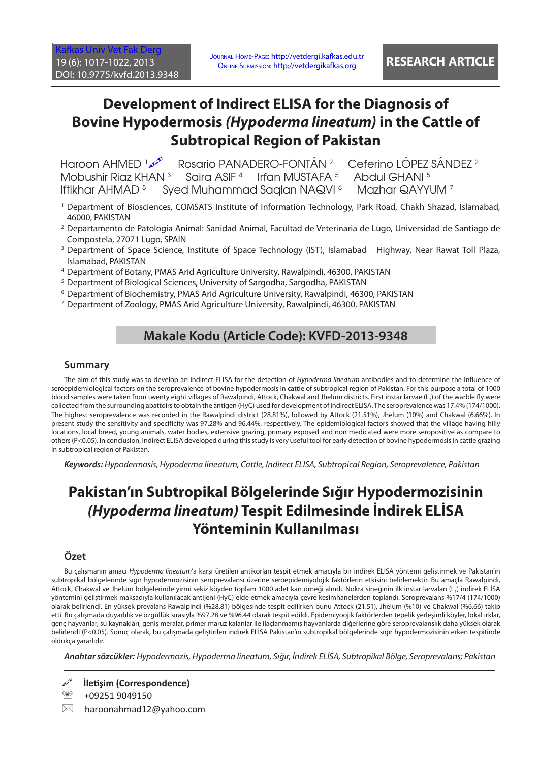# **Development of Indirect ELISA for the Diagnosis of Bovine Hypodermosis** *(Hypoderma lineatum)* **in the Cattle of Subtropical Region of Pakistan**

Haroon AHMED 1 Rosario PANADERO-FONTÁN 2 Ceferino LÓPEZ SÁNDEZ 2 Mobushir Riaz KHAN<sup>3</sup> Saira ASIF 4 Irfan MUSTAFA 5 Abdul GHANI 5 Iftikhar AHMAD 5 Syed Muhammad Saqlan NAQVI 6 Mazhar QAYYUM 7

- 1 Department of Biosciences, COMSATS Institute of Information Technology, Park Road, Chakh Shazad, Islamabad, 46000, PAKISTAN
- 2 Departamento de Patología Animal: Sanidad Animal, Facultad de Veterinaria de Lugo, Universidad de Santiago de Compostela, 27071 Lugo, SPAIN
- <sup>3</sup> Department of Space Science, Institute of Space Technology (IST), Islamabad Highway, Near Rawat Toll Plaza, Islamabad, PAKISTAN
- 4 Department of Botany, PMAS Arid Agriculture University, Rawalpindi, 46300, PAKISTAN
- <sup>5</sup> Department of Biological Sciences, University of Sargodha, Sargodha, PAKISTAN
- 6 Department of Biochemistry, PMAS Arid Agriculture University, Rawalpindi, 46300, PAKISTAN
- 7 Department of Zoology, PMAS Arid Agriculture University, Rawalpindi, 46300, PAKISTAN

## **Makale Kodu (Article Code): KVFD-2013-9348**

### **Summary**

The aim of this study was to develop an indirect ELISA for the detection of *Hypoderma lineatum* antibodies and to determine the influence of seroepidemiological factors on the seroprevalence of bovine hypodermosis in cattle of subtropical region of Pakistan. For this purpose a total of 1000 blood samples were taken from twenty eight villages of Rawalpindi, Attock, Chakwal and Jhelum districts. First instar larvae  $(L_1)$  of the warble fly were collected from the surrounding abattoirs to obtain the antigen (HyC) used for development of indirect ELISA. The seroprevalence was 17.4% (174/1000). The highest seroprevalence was recorded in the Rawalpindi district (28.81%), followed by Attock (21.51%), Jhelum (10%) and Chakwal (6.66%). In present study the sensitivity and specificity was 97.28% and 96.44%, respectively. The epidemiological factors showed that the village having hilly locations, local breed, young animals, water bodies, extensive grazing, primary exposed and non medicated were more seropositive as compare to others (P<0.05). In conclusion, indirect ELISA developed during this study is very useful tool for early detection of bovine hypodermosis in cattle grazing in subtropical region of Pakistan.

*Keywords: Hypodermosis, Hypoderma lineatum, Cattle, Indirect ELISA, Subtropical Region, Seroprevalence, Pakistan*

# **Pakistan'ın Subtropikal Bölgelerinde Sığır Hypodermozisinin**  *(Hypoderma lineatum)* **Tespit Edilmesinde İndirek ELİSA Yönteminin Kullanılması**

## **Özet**

Bu çalışmanın amacı *Hypoderma lineatum*'a karşı üretilen antikorları tespit etmek amacıyla bir indirek ELİSA yöntemi geliştirmek ve Pakistan'ın subtropikal bölgelerinde sığır hypodermozisinin seroprevalansı üzerine seroepidemiyolojik faktörlerin etkisini belirlemektir. Bu amaçla Rawalpindi, Attock, Chakwal ve Jhelum bölgelerinde yirmi sekiz köyden toplam 1000 adet kan örneği alındı. Nokra sineğinin ilk instar larvaları (L<sub>1</sub>) indirek ELİSA yöntemini geliştirmek maksadıyla kullanılacak antijeni (HyC) elde etmek amacıyla çevre kesimhanelerden toplandı. Seroprevalans %17/4 (174/1000) olarak belirlendi. En yüksek prevalans Rawalpindi (%28.81) bölgesinde tespit edilirken bunu Attock (21.51), Jhelum (%10) ve Chakwal (%6.66) takip etti. Bu çalışmada duyarlılık ve özgüllük sırasıyla %97.28 ve %96.44 olarak tespit edildi. Epidemiyoojik faktörlerden tepelik yerleşimli köyler, lokal ırklar, genç hayvanlar, su kaynakları, geniş meralar, primer maruz kalanlar ile ilaçlanmamış hayvanlarda diğerlerine göre seroprevalanslık daha yüksek olarak belirlendi (P<0.05). Sonuç olarak, bu çalışmada geliştirilen indirek ELİSA Pakistan'ın subtropikal bölgelerinde sığır hypodermozisinin erken tespitinde oldukça yararlıdır.

*Anahtar sözcükler: Hypodermozis, Hypoderma lineatum, Sığır, İndirek ELİSA, Subtropikal Bölge, Seroprevalans; Pakistan*

**İletişim (Correspondence)**

- 109251 9049150
- $\boxtimes$  haroonahmad12@yahoo.com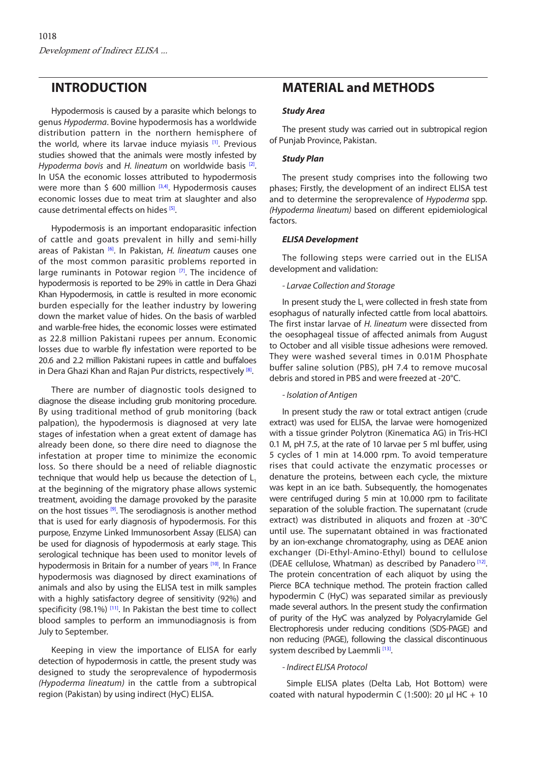## **INTRODUCTION**

Hypodermosis is caused by a parasite which belongs to genus *Hypoderma*. Bovine hypodermosis has a worldwide distribution pattern in the northern hemisphere of the world, where its larvae induce myiasis [\[1\]](#page-4-0). Previous studies showed that the animals were mostly infested by *Hypoderma bovis* and *H. lineatum* on worldwide basis <sup>[2]</sup>. In USA the economic losses attributed to hypodermosis were more than  $\zeta$  600 million  $[3,4]$  $[3,4]$ . Hypodermosis causes economic losses due to meat trim at slaughter and also cause detrimental effects on hides [\[5\].](#page-5-0)

Hypodermosis is an important endoparasitic infection of cattle and goats prevalent in hilly and semi-hilly areas of Pakista[n \[6\].](#page-5-0) In Pakistan, *H. lineatum* causes one of the most common parasitic problems reported in large ruminants in Potowar region  $[7]$ . The incidence of hypodermosis is reported to be 29% in cattle in Dera Ghazi Khan Hypodermosis, in cattle is resulted in more economic burden especially for the leather industry by lowering down the market value of hides. On the basis of warbled and warble-free hides, the economic losses were estimated as 22.8 million Pakistani rupees per annum. Economic losses due to warble fly infestation were reported to be 20.6 and 2.2 million Pakistani rupees in cattle and buffaloes in Dera Ghazi Khan and Rajan Pur districts, respectively [\[8\].](#page-5-0)

There are number of diagnostic tools designed to diagnose the disease including grub monitoring procedure. By using traditional method of grub monitoring (back palpation), the hypodermosis is diagnosed at very late stages of infestation when a great extent of damage has already been done, so there dire need to diagnose the infestation at proper time to minimize the economic loss. So there should be a need of reliable diagnostic technique that would help us because the detection of  $L<sub>1</sub>$ at the beginning of the migratory phase allows systemic treatment, avoiding the damage provoked by the parasite on the host tissues <sup>[9]</sup>. The serodiagnosis is another method that is used for early diagnosis of hypodermosis. For this purpose, Enzyme Linked Immunosorbent Assay (ELISA) can be used for diagnosis of hypodermosis at early stage. This serological technique has been used to monitor levels of hypodermosis in Britain for a number of years [\[10\].](#page-5-0) In France hypodermosis was diagnosed by direct examinations of animals and also by using the ELISA test in milk samples with a highly satisfactory degree of sensitivity (92%) and specificity (98.1%)  $[11]$ . In Pakistan the best time to collect blood samples to perform an immunodiagnosis is from July to September.

Keeping in view the importance of ELISA for early detection of hypodermosis in cattle, the present study was designed to study the seroprevalence of hypodermosis *(Hypoderma lineatum)* in the cattle from a subtropical region (Pakistan) by using indirect (HyC) ELISA.

## **MATERIAL and METHODS**

#### *Study Area*

The present study was carried out in subtropical region of Punjab Province, Pakistan.

#### *Study Plan*

The present study comprises into the following two phases; Firstly, the development of an indirect ELISA test and to determine the seroprevalence of *Hypoderma* spp*. (Hypoderma lineatum)* based on different epidemiological factors.

#### *ELISA Development*

The following steps were carried out in the ELISA development and validation:

#### *- Larvae Collection and Storage*

In present study the  $L_1$  were collected in fresh state from esophagus of naturally infected cattle from local abattoirs. The first instar larvae of *H. lineatum* were dissected from the oesophageal tissue of affected animals from August to October and all visible tissue adhesions were removed. They were washed several times in 0.01M Phosphate buffer saline solution (PBS), pH 7.4 to remove mucosal debris and stored in PBS and were freezed at -20°C.

#### *- Isolation of Antigen*

In present study the raw or total extract antigen (crude extract) was used for ELISA, the larvae were homogenized with a tissue grinder Polytron (Kinematica AG) in Tris-HCl 0.1 M, pH 7.5, at the rate of 10 larvae per 5 ml buffer, using 5 cycles of 1 min at 14.000 rpm. To avoid temperature rises that could activate the enzymatic processes or denature the proteins, between each cycle, the mixture was kept in an ice bath. Subsequently, the homogenates were centrifuged during 5 min at 10.000 rpm to facilitate separation of the soluble fraction. The supernatant (crude extract) was distributed in aliquots and frozen at -30°C until use. The supernatant obtained in was fractionated by an ion-exchange chromatography, using as DEAE anion exchanger (Di-Ethyl-Amino-Ethyl) bound to cellulose (DEAE cellulose, Whatman) as described by Panadero<sup>[12]</sup>. The protein concentration of each aliquot by using the Pierce BCA technique method. The protein fraction called hypodermin C (HyC) was separated similar as previously made several authors. In the present study the confirmation of purity of the HyC was analyzed by Polyacrylamide Gel Electrophoresis under reducing conditions (SDS-PAGE) and non reducing (PAGE), following the classical discontinuous system described by Laemmli<sup>[13]</sup>.

### *- Indirect ELISA Protocol*

 Simple ELISA plates (Delta Lab, Hot Bottom) were coated with natural hypodermin C (1:500): 20 μl HC + 10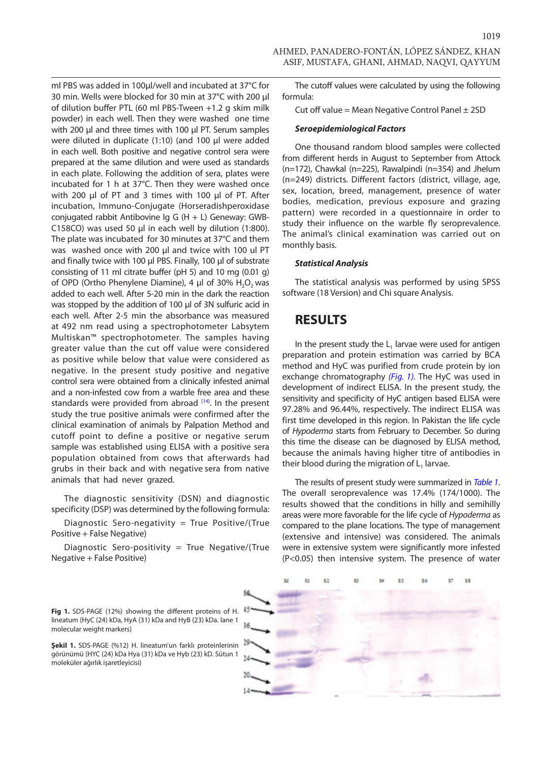ml PBS was added in 100μl/well and incubated at 37°C for 30 min. Wells were blocked for 30 min at 37°C with 200 μl of dilution buffer PTL (60 ml PBS-Tween +1.2 g skim milk powder) in each well. Then they were washed one time with 200 μl and three times with 100 μl PT. Serum samples were diluted in duplicate (1:10) (and 100 µl were added in each well. Both positive and negative control sera were prepared at the same dilution and were used as standards in each plate. Following the addition of sera, plates were incubated for 1 h at 37°C. Then they were washed once with 200 µl of PT and 3 times with 100 µl of PT. After incubation, Immuno-Conjugate (Horseradishperoxidase conjugated rabbit Antibovine Ig G  $(H + L)$  Geneway: GWB-C158CO) was used 50 μl in each well by dilution (1:800). The plate was incubated for 30 minutes at 37°C and them was washed once with 200 μl and twice with 100 ul PT and finally twice with 100 µl PBS. Finally, 100 µl of substrate consisting of 11 ml citrate buffer (pH 5) and 10 mg (0.01 g) of OPD (Ortho Phenylene Diamine), 4 μl of 30% H<sub>2</sub>O<sub>2</sub> was added to each well. After 5-20 min in the dark the reaction was stopped by the addition of 100 μl of 3N sulfuric acid in each well. After 2-5 min the absorbance was measured at 492 nm read using a spectrophotometer Labsytem Multiskan™ spectrophotometer. The samples having greater value than the cut off value were considered as positive while below that value were considered as negative. In the present study positive and negative control sera were obtained from a clinically infested animal and a non-infested cow from a warble free area and these standards were provided from abroad [\[14\].](#page-5-0) In the present study the true positive animals were confirmed after the clinical examination of animals by Palpation Method and cutoff point to define a positive or negative serum sample was established using ELISA with a positive sera population obtained from cows that afterwards had grubs in their back and with negative sera from native animals that had never grazed.

The diagnostic sensitivity (DSN) and diagnostic specificity (DSP) was determined by the following formula:

Diagnostic Sero-negativity = True Positive/(True Positive + False Negative)

Diagnostic Sero-positivity = True Negative/(True Negative + False Positive)

The cutoff values were calculated by using the following formula:

Cut off value = Mean Negative Control Panel  $\pm$  2SD

#### *Seroepidemiological Factors*

One thousand random blood samples were collected from different herds in August to September from Attock (n=172), Chawkal (n=225), Rawalpindi (n=354) and Jhelum (n=249) districts*.* Different factors (district, village, age, sex, location, breed, management, presence of water bodies, medication, previous exposure and grazing pattern) were recorded in a questionnaire in order to study their influence on the warble fly seroprevalence. The animal's clinical examination was carried out on monthly basis.

#### *Statistical Analysis*

The statistical analysis was performed by using SPSS software (18 Version) and Chi square Analysis.

## **RESULTS**

In the present study the  $L<sub>1</sub>$  larvae were used for antigen preparation and protein estimation was carried by BCA method and HyC was purified from crude protein by ion exchange chromatography *(Fig. 1).* The HyC was used in development of indirect ELISA. In the present study, the sensitivity and specificity of HyC antigen based ELISA were 97.28% and 96.44%, respectively. The indirect ELISA was first time developed in this region. In Pakistan the life cycle of *Hypoderma* starts from February to December. So during this time the disease can be diagnosed by ELISA method, because the animals having higher titre of antibodies in their blood during the migration of  $L<sub>1</sub>$  larvae.

The results of present study were summarized in *[Table 1](#page-3-0)*. The overall seroprevalence was 17.4% (174/1000). The results showed that the conditions in hilly and semihilly areas were more favorable for the life cycle of *Hypoderma* as compared to the plane locations. The type of management (extensive and intensive) was considered. The animals were in extensive system were significantly more infested (P<0.05) then intensive system. The presence of water



**Fig 1.** SDS-PAGE (12%) showing the different proteins of H. lineatum {HyC (24) kDa, HyA (31) kDa and HyB (23) kDa. lane 1 molecular weight markers}

**Şekil 1.** SDS-PAGE (%12) H. lineatum'un farklı proteinlerinin görünümü {HYC (24) kDa Hya (31) kDa ve Hyb (23) kD. Sütun 1 moleküler ağırlık işaretleyicisi}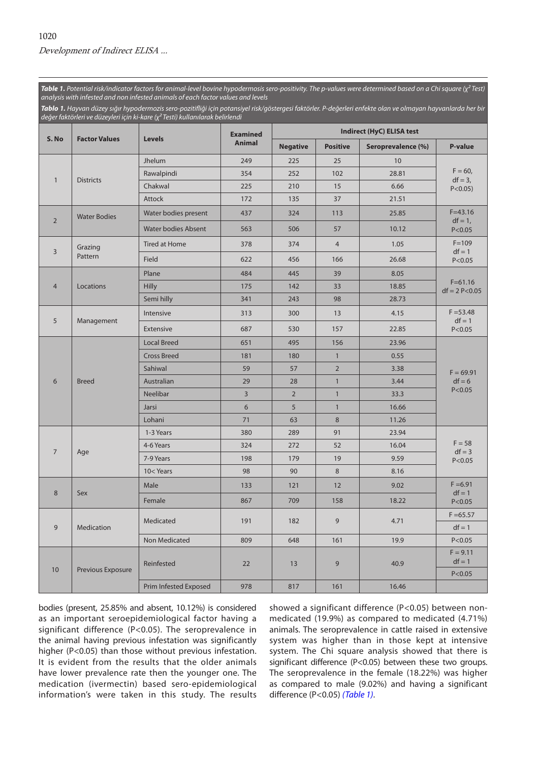<span id="page-3-0"></span>*Table 1. Potential risk/indicator factors for animal-level bovine hypodermosis sero-positivity. The p-values were determined based on a Chi square (χ² Test) analysis with infested and non infested animals of each factor values and levels*

| Tablo 1. Hayvan düzey sığır hypodermozis sero-pozitifliği için potansiyel risk/göstergesi faktörler. P-değerleri enfekte olan ve olmayan hayvanlarda her bir |
|--------------------------------------------------------------------------------------------------------------------------------------------------------------|
| değer faktörleri ve düzeyleri için ki-kare ( $\chi^2$ Testi) kullanılarak belirlendi                                                                         |

| S. No          | <b>Factor Values</b> | <b>Levels</b>                                                           | <b>Examined</b><br><b>Animal</b> | Indirect (HyC) ELISA test |                 |                    |                                         |
|----------------|----------------------|-------------------------------------------------------------------------|----------------------------------|---------------------------|-----------------|--------------------|-----------------------------------------|
|                |                      |                                                                         |                                  | <b>Negative</b>           | <b>Positive</b> | Seroprevalence (%) | <b>P-value</b>                          |
| $\mathbf{1}$   | <b>Districts</b>     | Jhelum                                                                  | 249                              | 225                       | 25              | 10                 | $F = 60,$<br>$df = 3$ ,<br>$P < 0.05$ ) |
|                |                      | Rawalpindi                                                              | 354                              | 252                       | 102             | 28.81              |                                         |
|                |                      | Chakwal                                                                 | 225                              | 210                       | 15              | 6.66               |                                         |
|                |                      | <b>Attock</b>                                                           | 172                              | 135                       | 37              | 21.51              |                                         |
| $\overline{2}$ | <b>Water Bodies</b>  | Water bodies present                                                    | 437                              | 324                       | 113             | 25.85              | $F = 43.16$<br>$df = 1$ ,<br>P < 0.05   |
|                |                      | <b>Water bodies Absent</b>                                              | 563                              | 506                       | 57              | 10.12              |                                         |
| 3              | Grazing<br>Pattern   | <b>Tired at Home</b>                                                    | 378                              | 374                       | $\overline{4}$  | 1.05               | $F = 109$<br>$df = 1$<br>P < 0.05       |
|                |                      | Field                                                                   | 622                              | 456                       | 166             | 26.68              |                                         |
| $\overline{4}$ | Locations            | Plane                                                                   | 484                              | 445                       | 39              | 8.05               | $F = 61.16$<br>$df = 2 P < 0.05$        |
|                |                      | <b>Hilly</b>                                                            | 175                              | 142                       | 33              | 18.85              |                                         |
|                |                      | Semi hilly                                                              | 341                              | 243                       | 98              | 28.73              |                                         |
| 5              | Management           | Intensive                                                               | 313                              | 300                       | 13              | 4.15               | $F = 53.48$<br>$df = 1$<br>P < 0.05     |
|                |                      | Extensive                                                               | 687                              | 530                       | 157             | 22.85              |                                         |
| 6              | <b>Breed</b>         | <b>Local Breed</b>                                                      | 651                              | 495                       | 156             | 23.96              | $F = 69.91$<br>$df = 6$<br>P < 0.05     |
|                |                      | <b>Cross Breed</b>                                                      | 181                              | 180                       | $\mathbf{1}$    | 0.55               |                                         |
|                |                      | Sahiwal                                                                 | 59                               | 57                        | $\overline{2}$  | 3.38               |                                         |
|                |                      | Australian                                                              | 29                               | 28                        | $\mathbf{1}$    | 3.44               |                                         |
|                |                      | Neelibar                                                                | 3                                | $\overline{2}$            | $\mathbf{1}$    | 33.3               |                                         |
|                |                      | Jarsi                                                                   | 6                                | 5                         | $\mathbf{1}$    | 16.66              |                                         |
|                |                      | Lohani                                                                  | 71                               | 63                        | 8               | 11.26              |                                         |
| $\overline{7}$ | Age                  | 1-3 Years                                                               | 380                              | 289                       | 91              | 23.94              | $F = 58$<br>$df = 3$<br>P < 0.05        |
|                |                      | 4-6 Years                                                               | 324                              | 272                       | 52              | 16.04              |                                         |
|                |                      | 7-9 Years                                                               | 198                              | 179                       | 19              | 9.59               |                                         |
|                |                      | 10 <years< td=""><td>98</td><td>90</td><td>8</td><td>8.16</td></years<> | 98                               | 90                        | 8               | 8.16               |                                         |
| 8              | Sex                  | Male                                                                    | 133                              | 121                       | 12              | 9.02               | $F = 6.91$<br>$df = 1$<br>P < 0.05      |
|                |                      | Female                                                                  | 867                              | 709                       | 158             | 18.22              |                                         |
| 9              | Medication           | Medicated                                                               | 191                              | 182                       | 9               | 4.71               | $F = 65.57$                             |
|                |                      |                                                                         |                                  |                           |                 |                    | $df = 1$                                |
|                |                      | Non Medicated                                                           | 809                              | 648                       | 161             | 19.9               | P < 0.05                                |
| $10$           | Previous Exposure    | Reinfested                                                              | 22                               | 13                        | 9               | 40.9               | $F = 9.11$<br>$df = 1$                  |
|                |                      |                                                                         |                                  |                           |                 |                    | P < 0.05                                |
|                |                      | Prim Infested Exposed                                                   | 978                              | 817                       | 161             | 16.46              |                                         |

bodies (present, 25.85% and absent, 10.12%) is considered as an important seroepidemiological factor having a significant difference (P<0.05). The seroprevalence in the animal having previous infestation was significantly higher (P<0.05) than those without previous infestation. It is evident from the results that the older animals have lower prevalence rate then the younger one. The medication (ivermectin) based sero-epidemiological information's were taken in this study. The results

showed a significant difference (P<0.05) between nonmedicated (19.9%) as compared to medicated (4.71%) animals. The seroprevalence in cattle raised in extensive system was higher than in those kept at intensive system. The Chi square analysis showed that there is significant difference (P<0.05) between these two groups. The seroprevalence in the female (18.22%) was higher as compared to male (9.02%) and having a significant difference (P<0.05) *(Table 1)*.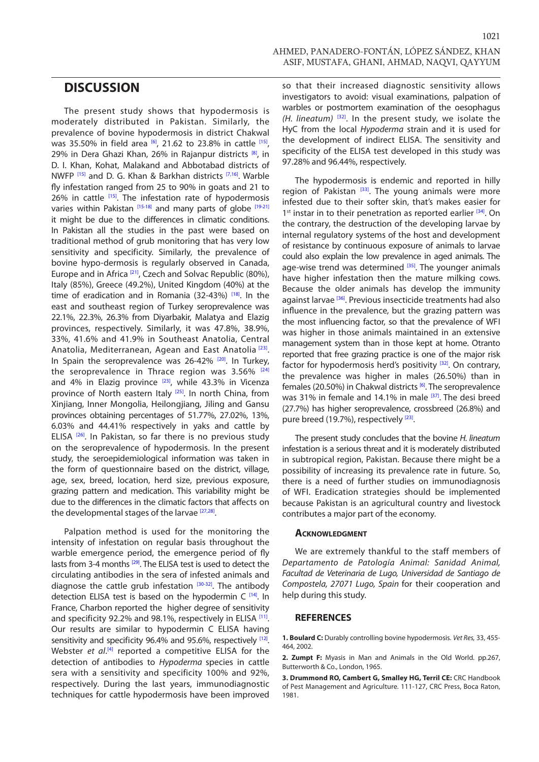<span id="page-4-0"></span>The present study shows that hypodermosis is moderately distributed in Pakistan. Similarly, the prevalence of bovine hypodermosis in district Chakwal was 35.50% in field area [\[6\]](#page-5-0), 21.62 to 23.8% in cattle [\[15\]](#page-5-0), 29% in Dera Ghazi Khan, 26% in Rajanpur districts <sup>[\[8\]](#page-5-0)</sup>, in D. I. Khan, Kohat, Malakand and Abbotabad districts of NWFP [\[15\]](#page-5-0) and D. G. Khan & Barkhan districts [\[7](#page-5-0),[16\]](#page-5-0). Warble fly infestation ranged from 25 to 90% in goats and 21 to 26% in cattle <sup>[\[15\]](#page-5-0)</sup>. The infestation rate of hypodermosis varies within Pakistan [\[15-18\]](#page-5-0) and many parts of globe [\[19-21\]](#page-5-0) it might be due to the differences in climatic conditions. In Pakistan all the studies in the past were based on traditional method of grub monitoring that has very low sensitivity and specificity. Similarly, the prevalence of bovine hypo-dermosis is regularly observed in Canada, Europe and in Africa <sup>[\[21\]](#page-5-0)</sup>, Czech and Solvac Republic (80%), Italy (85%), Greece (49.2%), United Kingdom (40%) at the time of eradication and in Romania (32-43%[\) \[18\]](#page-5-0) . In the east and southeast region of Turkey seroprevalence was 22.1%, 22.3%, 26.3% from Diyarbakir, Malatya and Elazig provinces, respectively. Similarly, it was 47.8%, 38.9%, 33%, 41.6% and 41.9% in Southeast Anatolia, Central Anatolia, Mediterranean, Agean and East Anatolia <a>[\[23\]](#page-5-0)</a>. In Spain the seroprevalence was 26-42% [\[20\]](#page-5-0). In Turkey, the seroprevalence in Thrace region was  $3.56\%$ <sup>[\[24\]](#page-5-0)</sup> and 4% in Elazig province  $[23]$ , while 43.3% in Vicenza province of North eastern Italy<sup>[25]</sup>. In north China, from Xinjiang, Inner Mongolia, Heilongjiang, Jiling and Gansu provinces obtaining percentages of 51.77%, 27.02%, 13%, 6.03% and 44.41% respectively in yaks and cattle by ELISA<sup>[\[26\]](#page-5-0)</sup>. In Pakistan, so far there is no previous study on the seroprevalence of hypodermosis. In the present study, the seroepidemiological information was taken in the form of questionnaire based on the district, village, age, sex, breed, location, herd size, previous exposure, grazing pattern and medication. This variability might be due to the differences in the climatic factors that affects on the developmental stages of the larvae <a>[\[27,28\]](#page-5-0)</a>.

Palpation method is used for the monitoring the intensity of infestation on regular basis throughout the warble emergence period, the emergence period of fly lasts from 3-4 months <sup>[\[29\]](#page-5-0)</sup>. The ELISA test is used to detect the circulating antibodies in the sera of infested animals and diagnose the cattle grub infestation [\[30-32\].](#page-5-0) The antibody detection ELISA test is based on the hypodermin C [\[14\]](#page-5-0). In France, Charbon reported the higher degree of sensitivity and specificity 92.2% and 98.1%, respectively in ELISA [\[11\].](#page-5-0) Our results are similar to hypodermin C ELISA having sensitivity and specificity 96.4% and 95.6%, respectively [\[12\].](#page-5-0) Webster *et al.*<sup>[\[4\]](#page-5-0)</sup> reported a competitive ELISA for the detection of antibodies to *Hypoderma* species in cattle sera with a sensitivity and specificity 100% and 92%, respectively. During the last years, immunodiagnostic techniques for cattle hypodermosis have been improved

1021

so that their increased diagnostic sensitivity allows investigators to avoid: visual examinations, palpation of warbles or postmortem examination of the oesophagus *(H. lineatum)* [\[32\]](#page-5-0). In the present study, we isolate the HyC from the local *Hypoderma* strain and it is used for the development of indirect ELISA. The sensitivity and specificity of the ELISA test developed in this study was 97.28% and 96.44%, respectively.

The hypodermosis is endemic and reported in hilly region of Pakistan  $[33]$ . The young animals were more infested due to their softer skin, that's makes easier for  $1<sup>st</sup>$  instar in to their penetration as reported earlier  $[34]$ . On the contrary, the destruction of the developing larvae by internal regulatory systems of the host and development of resistance by continuous exposure of animals to larvae could also explain the low prevalence in aged animals. The age-wise trend was determined  $[35]$ . The younger animals have higher infestation then the mature milking cows. Because the older animals has develop the immunity against larvae <sup>[36]</sup>. Previous insecticide treatments had also influence in the prevalence, but the grazing pattern was the most influencing factor, so that the prevalence of WFI was higher in those animals maintained in an extensive management system than in those kept at home. Otranto reported that free grazing practice is one of the major risk factor for hypodermosis herd's positivity  $[32]$ . On contrary, the prevalence was higher in males (26.50%) than in females (20.50%) in Chakwal districts [\[6\].](#page-5-0) The seroprevalence was 31% in female and 14.1% in male <sup>[\[37\]](#page-5-0)</sup>. The desi breed (27.7%) has higher seroprevalence, crossbreed (26.8%) and pure breed (19.7%), respectively [23].

The present study concludes that the bovine *H. lineatum* infestation is a serious threat and it is moderately distributed in subtropical region, Pakistan. Because there might be a possibility of increasing its prevalence rate in future. So, there is a need of further studies on immunodiagnosis of WFI. Eradication strategies should be implemented because Pakistan is an agricultural country and livestock contributes a major part of the economy.

#### **Acknowledgment**

We are extremely thankful to the staff members of *Departamento de Patología Animal: Sanidad Animal, Facultad de Veterinaria de Lugo, Universidad de Santiago de Compostela, 27071 Lugo, Spain* for their cooperation and help during this study.

#### **REFERENCES**

**1. Boulard C:** Durably controlling bovine hypodermosis. *Vet Res,* 33, 455- 464, 2002.

**2. Zumpt F:** Myasis in Man and Animals in the Old World. pp.267, Butterworth & Co., London, 1965.

**3. Drummond RO, Cambert G, Smalley HG, Terril CE:** CRC Handbook of Pest Management and Agriculture. 111-127, CRC Press, Boca Raton, 1981.